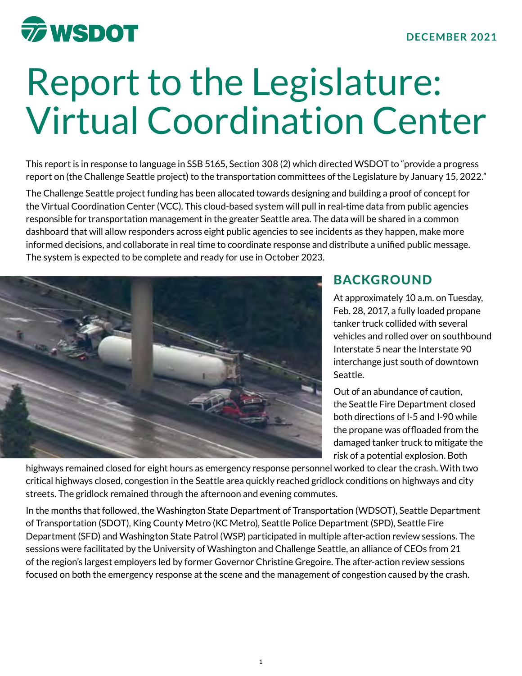

# Report to the Legislature: Virtual Coordination Center

This report is in response to language in SSB 5165, Section 308 (2) which directed WSDOT to "provide a progress report on (the Challenge Seattle project) to the transportation committees of the Legislature by January 15, 2022."

The Challenge Seattle project funding has been allocated towards designing and building a proof of concept for the Virtual Coordination Center (VCC). This cloud-based system will pull in real-time data from public agencies responsible for transportation management in the greater Seattle area. The data will be shared in a common dashboard that will allow responders across eight public agencies to see incidents as they happen, make more informed decisions, and collaborate in real time to coordinate response and distribute a unified public message. The system is expected to be complete and ready for use in October 2023.



#### BACKGROUND

At approximately 10 a.m. on Tuesday, Feb. 28, 2017, a fully loaded propane tanker truck collided with several vehicles and rolled over on southbound Interstate 5 near the Interstate 90 interchange just south of downtown Seattle.

Out of an abundance of caution, the Seattle Fire Department closed both directions of I-5 and I-90 while the propane was offloaded from the damaged tanker truck to mitigate the risk of a potential explosion. Both

highways remained closed for eight hours as emergency response personnel worked to clear the crash. With two critical highways closed, congestion in the Seattle area quickly reached gridlock conditions on highways and city streets. The gridlock remained through the afternoon and evening commutes.

In the months that followed, the Washington State Department of Transportation (WDSOT), Seattle Department of Transportation (SDOT), King County Metro (KC Metro), Seattle Police Department (SPD), Seattle Fire Department (SFD) and Washington State Patrol (WSP) participated in multiple after-action review sessions. The sessions were facilitated by the University of Washington and Challenge Seattle, an alliance of CEOs from 21 of the region's largest employers led by former Governor Christine Gregoire. The after-action review sessions focused on both the emergency response at the scene and the management of congestion caused by the crash.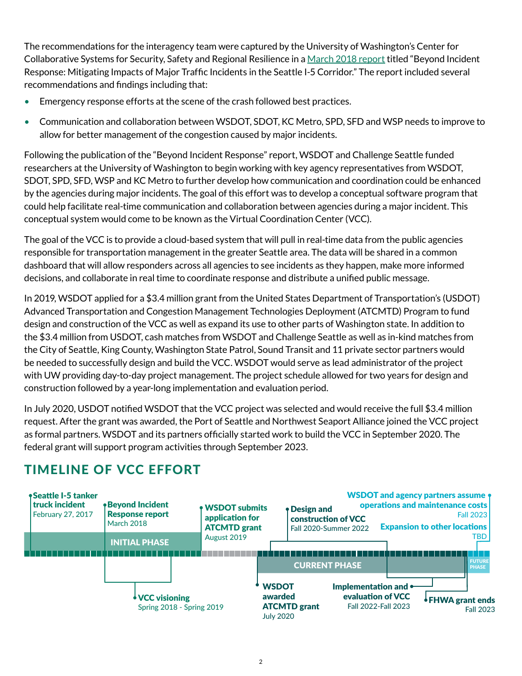The recommendations for the interagency team were captured by the University of Washington's Center for Collaborative Systems for Security, Safety and Regional Resilience in a <u>March 2018 report</u> titled "Beyond Incident Response: Mitigating Impacts of Major Traffic Incidents in the Seattle I-5 Corridor." The report included several recommendations and findings including that:

- Emergency response efforts at the scene of the crash followed best practices.
- Communication and collaboration between WSDOT, SDOT, KC Metro, SPD, SFD and WSP needs to improve to allow for better management of the congestion caused by major incidents.

Following the publication of the "Beyond Incident Response" report, WSDOT and Challenge Seattle funded researchers at the University of Washington to begin working with key agency representatives from WSDOT, SDOT, SPD, SFD, WSP and KC Metro to further develop how communication and coordination could be enhanced by the agencies during major incidents. The goal of this effort was to develop a conceptual software program that could help facilitate real-time communication and collaboration between agencies during a major incident. This conceptual system would come to be known as the Virtual Coordination Center (VCC).

The goal of the VCC is to provide a cloud-based system that will pull in real-time data from the public agencies responsible for transportation management in the greater Seattle area. The data will be shared in a common dashboard that will allow responders across all agencies to see incidents as they happen, make more informed decisions, and collaborate in real time to coordinate response and distribute a unified public message.

In 2019, WSDOT applied for a \$3.4 million grant from the United States Department of Transportation's (USDOT) Advanced Transportation and Congestion Management Technologies Deployment (ATCMTD) Program to fund design and construction of the VCC as well as expand its use to other parts of Washington state. In addition to the \$3.4 million from USDOT, cash matches from WSDOT and Challenge Seattle as well as in-kind matches from the City of Seattle, King County, Washington State Patrol, Sound Transit and 11 private sector partners would be needed to successfully design and build the VCC. WSDOT would serve as lead administrator of the project with UW providing day-to-day project management. The project schedule allowed for two years for design and construction followed by a year-long implementation and evaluation period.

In July 2020, USDOT notified WSDOT that the VCC project was selected and would receive the full \$3.4 million request. After the grant was awarded, the Port of Seattle and Northwest Seaport Alliance joined the VCC project as formal partners. WSDOT and its partners officially started work to build the VCC in September 2020. The federal grant will support program activities through September 2023.



## TIMELINE OF VCC EFFORT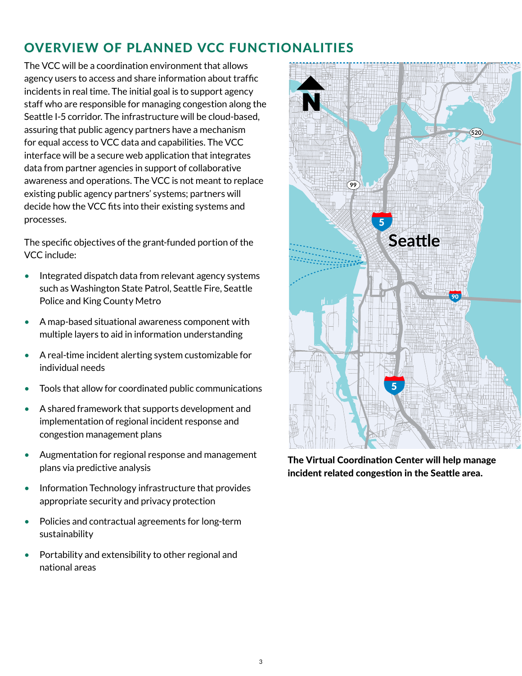## OVERVIEW OF PLANNED VCC FUNCTIONALITIES

The VCC will be a coordination environment that allows agency users to access and share information about traffic incidents in real time. The initial goal is to support agency staff who are responsible for managing congestion along the Seattle I-5 corridor. The infrastructure will be cloud-based, assuring that public agency partners have a mechanism for equal access to VCC data and capabilities. The VCC interface will be a secure web application that integrates data from partner agencies in support of collaborative awareness and operations. The VCC is not meant to replace existing public agency partners' systems; partners will decide how the VCC fits into their existing systems and processes.

The specific objectives of the grant-funded portion of the VCC include:

- Integrated dispatch data from relevant agency systems such as Washington State Patrol, Seattle Fire, Seattle Police and King County Metro
- A map-based situational awareness component with multiple layers to aid in information understanding
- A real-time incident alerting system customizable for individual needs
- Tools that allow for coordinated public communications
- A shared framework that supports development and implementation of regional incident response and congestion management plans
- Augmentation for regional response and management plans via predictive analysis
- Information Technology infrastructure that provides appropriate security and privacy protection
- Policies and contractual agreements for long-term sustainability
- Portability and extensibility to other regional and national areas



The Virtual Coordination Center will help manage incident related congestion in the Seattle area.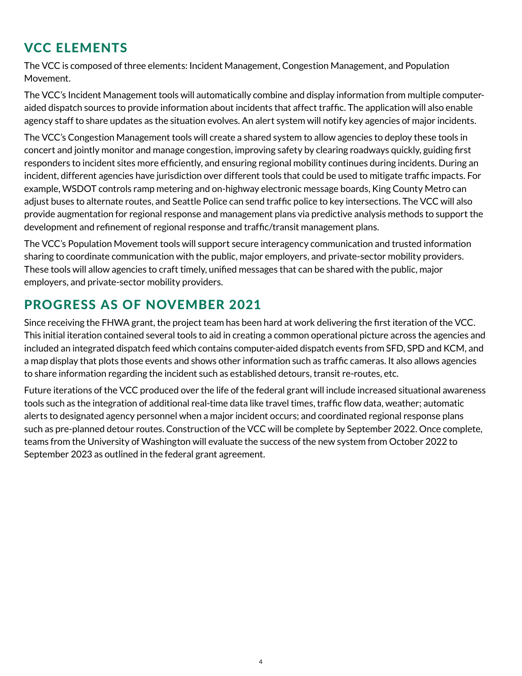## VCC ELEMENTS

The VCC is composed of three elements: Incident Management, Congestion Management, and Population Movement.

The VCC's Incident Management tools will automatically combine and display information from multiple computeraided dispatch sources to provide information about incidents that affect traffic. The application will also enable agency staff to share updates as the situation evolves. An alert system will notify key agencies of major incidents.

The VCC's Congestion Management tools will create a shared system to allow agencies to deploy these tools in concert and jointly monitor and manage congestion, improving safety by clearing roadways quickly, guiding first responders to incident sites more efficiently, and ensuring regional mobility continues during incidents. During an incident, different agencies have jurisdiction over different tools that could be used to mitigate traffic impacts. For example, WSDOT controls ramp metering and on-highway electronic message boards, King County Metro can adjust buses to alternate routes, and Seattle Police can send traffic police to key intersections. The VCC will also provide augmentation for regional response and management plans via predictive analysis methods to support the development and refinement of regional response and traffic/transit management plans.

The VCC's Population Movement tools will support secure interagency communication and trusted information sharing to coordinate communication with the public, major employers, and private-sector mobility providers. These tools will allow agencies to craft timely, unified messages that can be shared with the public, major employers, and private-sector mobility providers.

### PROGRESS AS OF NOVEMBER 2021

Since receiving the FHWA grant, the project team has been hard at work delivering the first iteration of the VCC. This initial iteration contained several tools to aid in creating a common operational picture across the agencies and included an integrated dispatch feed which contains computer-aided dispatch events from SFD, SPD and KCM, and a map display that plots those events and shows other information such as traffic cameras. It also allows agencies to share information regarding the incident such as established detours, transit re-routes, etc.

Future iterations of the VCC produced over the life of the federal grant will include increased situational awareness tools such as the integration of additional real-time data like travel times, traffic flow data, weather; automatic alerts to designated agency personnel when a major incident occurs; and coordinated regional response plans such as pre-planned detour routes. Construction of the VCC will be complete by September 2022. Once complete, teams from the University of Washington will evaluate the success of the new system from October 2022 to September 2023 as outlined in the federal grant agreement.